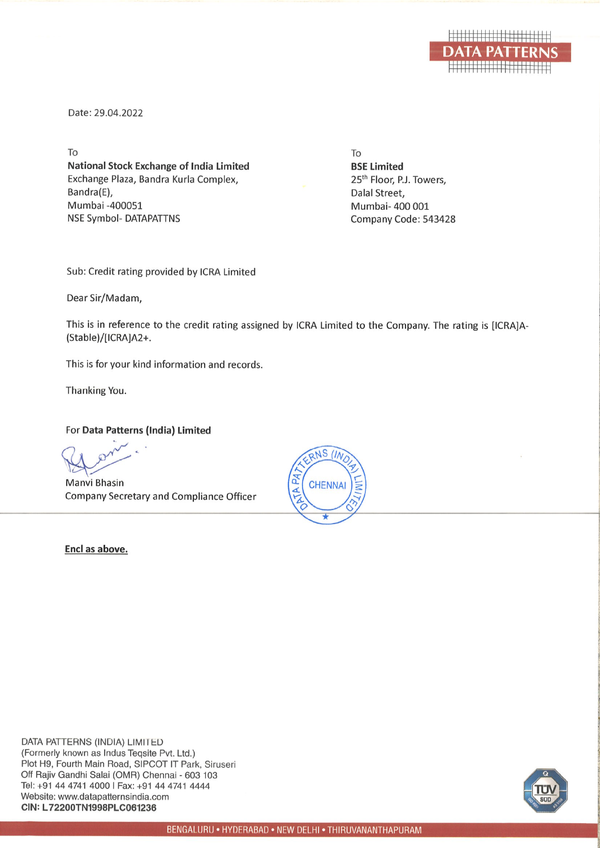

Date: 29.04.2022

To **National Stock Exchange of India Limited** Exchange Plaza, Bandra Kurla Complex, Bandra(E), Mumbai -400051 **NSE Symbol- DATAPATTNS** 

To **BSE Limited** 25<sup>th</sup> Floor, P.J. Towers, Dalal Street. Mumbai- 400 001 Company Code: 543428

Sub: Credit rating provided by ICRA Limited

Dear Sir/Madam,

This is in reference to the credit rating assigned by ICRA Limited to the Company. The rating is [ICRA]A-(Stable)/[ICRA]A2+.

This is for your kind information and records.

Thanking You.

For Data Patterns (India) Limited

Manvi Bhasin Company Secretary and Compliance Officer

Encl as above.



DATA PATTERNS (INDIA) LIMITED (Formerly known as Indus Teqsite Pvt. Ltd.) Plot H9, Fourth Main Road, SIPCOT IT Park, Siruseri Off Rajiv Gandhi Salai (OMR) Chennai - 603 103 Tel: +91 44 4741 4000 | Fax: +91 44 4741 4444 Website: www.datapatternsindia.com CIN: L72200TN1998PLC061236

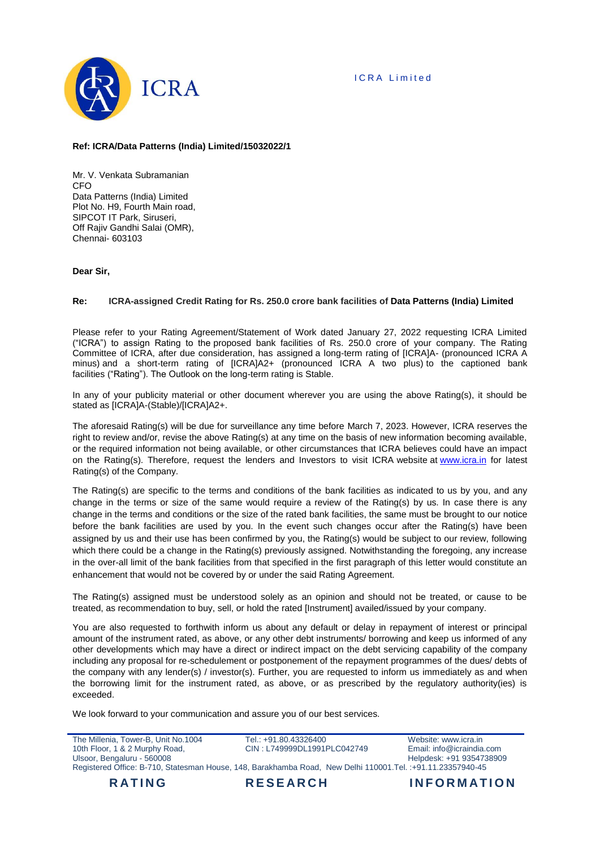

## **Ref: ICRA/Data Patterns (India) Limited/15032022/1**

Mr. V. Venkata Subramanian CFO Data Patterns (India) Limited Plot No. H9, Fourth Main road, SIPCOT IT Park, Siruseri, Off Rajiv Gandhi Salai (OMR), Chennai- 603103

## **Dear Sir,**

#### **Re: ICRA-assigned Credit Rating for Rs. 250.0 crore bank facilities of Data Patterns (India) Limited**

Please refer to your Rating Agreement/Statement of Work dated January 27, 2022 requesting ICRA Limited ("ICRA") to assign Rating to the proposed bank facilities of Rs. 250.0 crore of your company. The Rating Committee of ICRA, after due consideration, has assigned a long-term rating of [ICRA]A- (pronounced ICRA A minus) and a short-term rating of [ICRA]A2+ (pronounced ICRA A two plus) to the captioned bank facilities ("Rating"). The Outlook on the long-term rating is Stable.

In any of your publicity material or other document wherever you are using the above Rating(s), it should be stated as [ICRA]A-(Stable)/[ICRA]A2+.

The aforesaid Rating(s) will be due for surveillance any time before March 7, 2023. However, ICRA reserves the right to review and/or, revise the above Rating(s) at any time on the basis of new information becoming available, or the required information not being available, or other circumstances that ICRA believes could have an impact on the Rating(s). Therefore, request the lenders and Investors to visit ICRA website at [www.icra.in](http://www.icra.in/) for latest Rating(s) of the Company.

The Rating(s) are specific to the terms and conditions of the bank facilities as indicated to us by you, and any change in the terms or size of the same would require a review of the Rating(s) by us. In case there is any change in the terms and conditions or the size of the rated bank facilities, the same must be brought to our notice before the bank facilities are used by you. In the event such changes occur after the Rating(s) have been assigned by us and their use has been confirmed by you, the Rating(s) would be subject to our review, following which there could be a change in the Rating(s) previously assigned. Notwithstanding the foregoing, any increase in the over-all limit of the bank facilities from that specified in the first paragraph of this letter would constitute an enhancement that would not be covered by or under the said Rating Agreement.

The Rating(s) assigned must be understood solely as an opinion and should not be treated, or cause to be treated, as recommendation to buy, sell, or hold the rated [Instrument] availed/issued by your company.

You are also requested to forthwith inform us about any default or delay in repayment of interest or principal amount of the instrument rated, as above, or any other debt instruments/ borrowing and keep us informed of any other developments which may have a direct or indirect impact on the debt servicing capability of the company including any proposal for re-schedulement or postponement of the repayment programmes of the dues/ debts of the company with any lender(s) / investor(s). Further, you are requested to inform us immediately as and when the borrowing limit for the instrument rated, as above, or as prescribed by the regulatory authority(ies) is exceeded.

We look forward to your communication and assure you of our best services.

| <b>RATING</b>                       | <b>RESEARCH</b>                                                                                              | <b>INFORMATION</b>          |
|-------------------------------------|--------------------------------------------------------------------------------------------------------------|-----------------------------|
|                                     | Registered Office: B-710, Statesman House, 148, Barakhamba Road, New Delhi 110001. Tel. : +91.11.23357940-45 |                             |
| Ulsoor, Bengaluru - 560008          |                                                                                                              | Helpdesk: +91 9354738909    |
| 10th Floor, 1 & 2 Murphy Road,      | CIN: L749999DL1991PLC042749                                                                                  | Email: $info@icraindia.com$ |
| The Millenia. Tower-B. Unit No.1004 | Tel.: +91.80.43326400                                                                                        | Website: www.icra.in        |
|                                     |                                                                                                              |                             |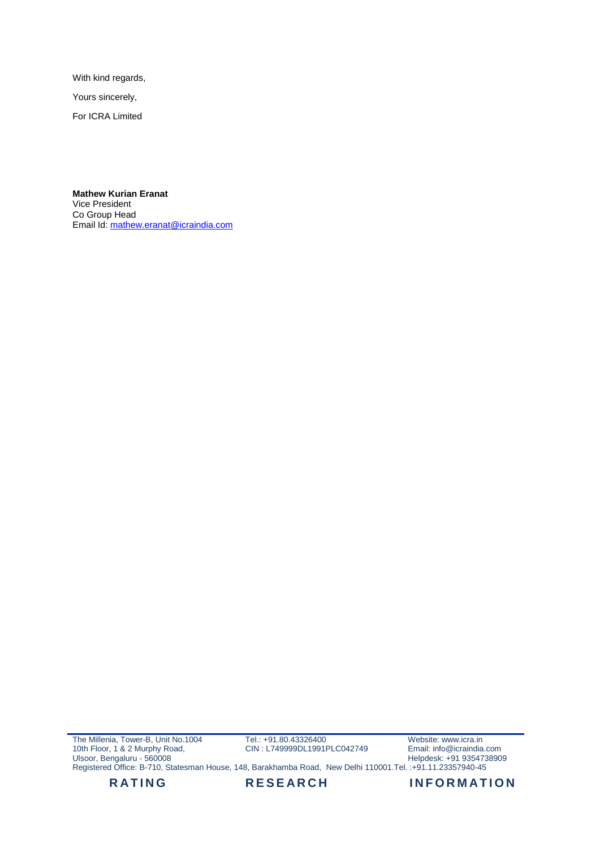With kind regards,

Yours sincerely,

For ICRA Limited

**Mathew Kurian Eranat** Vice President Co Group Head Email Id[: mathew.eranat@icraindia.com](mailto:mathew.eranat@icraindia.com)

The Millenia, Tower-B, Unit No.1004 10th Floor, 1 & 2 Murphy Road, Ulsoor, Bengaluru - 560008 Tel.: +91.80.43326400 CIN : L749999DL1991PLC042749 Website: www.icra.in Email: info@icraindia.com Helpdesk: +91 9354738909 Registered Office: B-710, Statesman House, 148, Barakhamba Road, New Delhi 110001.Tel. :+91.11.23357940-45

RATING RESEARCH INFORMATION